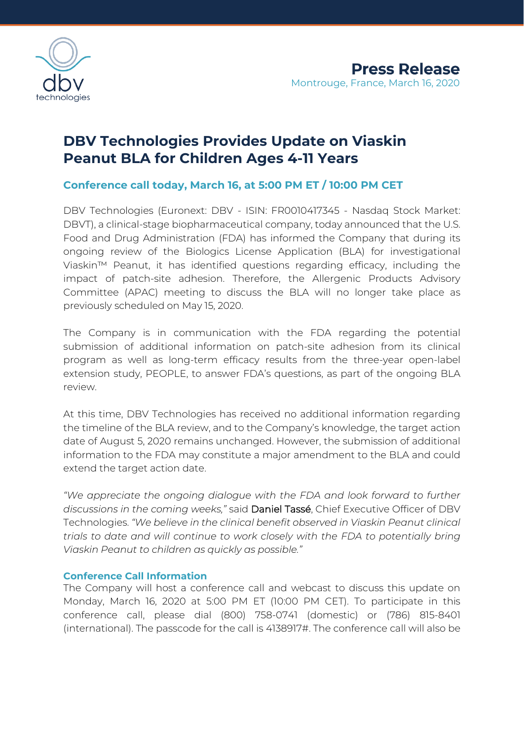

# **DBV Technologies Provides Update on Viaskin Peanut BLA for Children Ages 4-11 Years**

### **Conference call today, March 16, at 5:00 PM ET / 10:00 PM CET**

DBV Technologies (Euronext: DBV - ISIN: FR0010417345 - Nasdaq Stock Market: DBVT), a clinical-stage biopharmaceutical company, today announced that the U.S. Food and Drug Administration (FDA) has informed the Company that during its ongoing review of the Biologics License Application (BLA) for investigational Viaskin™ Peanut, it has identified questions regarding efficacy, including the impact of patch-site adhesion. Therefore, the Allergenic Products Advisory Committee (APAC) meeting to discuss the BLA will no longer take place as previously scheduled on May 15, 2020.

The Company is in communication with the FDA regarding the potential submission of additional information on patch-site adhesion from its clinical program as well as long-term efficacy results from the three-year open-label extension study, PEOPLE, to answer FDA's questions, as part of the ongoing BLA review.

At this time, DBV Technologies has received no additional information regarding the timeline of the BLA review, and to the Company's knowledge, the target action date of August 5, 2020 remains unchanged. However, the submission of additional information to the FDA may constitute a major amendment to the BLA and could extend the target action date.

*"We appreciate the ongoing dialogue with the FDA and look forward to further discussions in the coming weeks,"* said Daniel Tassé, Chief Executive Officer of DBV Technologies. *"We believe in the clinical benefit observed in Viaskin Peanut clinical trials to date and will continue to work closely with the FDA to potentially bring Viaskin Peanut to children as quickly as possible."*

#### **Conference Call Information**

The Company will host a conference call and webcast to discuss this update on Monday, March 16, 2020 at 5:00 PM ET (10:00 PM CET). To participate in this conference call, please dial (800) 758-0741 (domestic) or (786) 815-8401 (international). The passcode for the call is 4138917#. The conference call will also be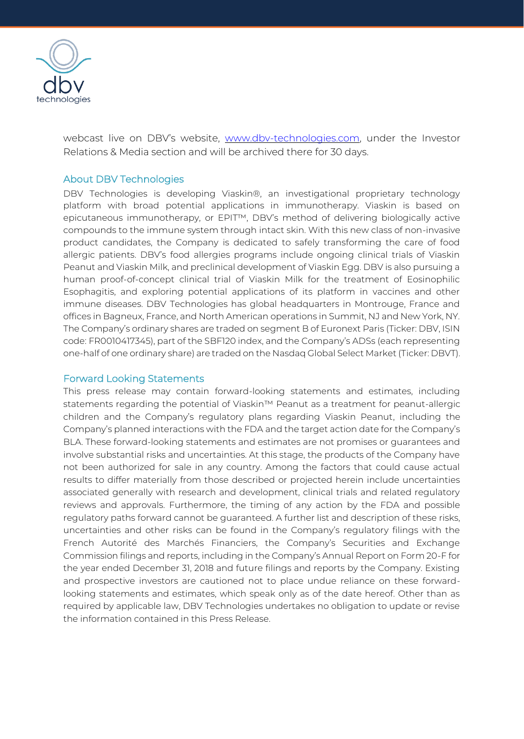

webcast live on DBV's website, [www.dbv-technologies.com,](http://www.dbv-technologies.com/) under the Investor Relations & Media section and will be archived there for 30 days.

#### About DBV Technologies

DBV Technologies is developing Viaskin®, an investigational proprietary technology platform with broad potential applications in immunotherapy. Viaskin is based on epicutaneous immunotherapy, or EPIT™, DBV's method of delivering biologically active compounds to the immune system through intact skin. With this new class of non-invasive product candidates, the Company is dedicated to safely transforming the care of food allergic patients. DBV's food allergies programs include ongoing clinical trials of Viaskin Peanut and Viaskin Milk, and preclinical development of Viaskin Egg. DBV is also pursuing a human proof-of-concept clinical trial of Viaskin Milk for the treatment of Eosinophilic Esophagitis, and exploring potential applications of its platform in vaccines and other immune diseases. DBV Technologies has global headquarters in Montrouge, France and offices in Bagneux, France, and North American operations in Summit, NJ and New York, NY. The Company's ordinary shares are traded on segment B of Euronext Paris (Ticker: DBV, ISIN code: FR0010417345), part of the SBF120 index, and the Company's ADSs (each representing one-half of one ordinary share) are traded on the Nasdaq Global Select Market (Ticker: DBVT).

#### Forward Looking Statements

This press release may contain forward-looking statements and estimates, including statements regarding the potential of Viaskin™ Peanut as a treatment for peanut-allergic children and the Company's regulatory plans regarding Viaskin Peanut, including the Company's planned interactions with the FDA and the target action date for the Company's BLA. These forward-looking statements and estimates are not promises or guarantees and involve substantial risks and uncertainties. At this stage, the products of the Company have not been authorized for sale in any country. Among the factors that could cause actual results to differ materially from those described or projected herein include uncertainties associated generally with research and development, clinical trials and related regulatory reviews and approvals. Furthermore, the timing of any action by the FDA and possible regulatory paths forward cannot be guaranteed. A further list and description of these risks, uncertainties and other risks can be found in the Company's regulatory filings with the French Autorité des Marchés Financiers, the Company's Securities and Exchange Commission filings and reports, including in the Company's Annual Report on Form 20-F for the year ended December 31, 2018 and future filings and reports by the Company. Existing and prospective investors are cautioned not to place undue reliance on these forwardlooking statements and estimates, which speak only as of the date hereof. Other than as required by applicable law, DBV Technologies undertakes no obligation to update or revise the information contained in this Press Release.